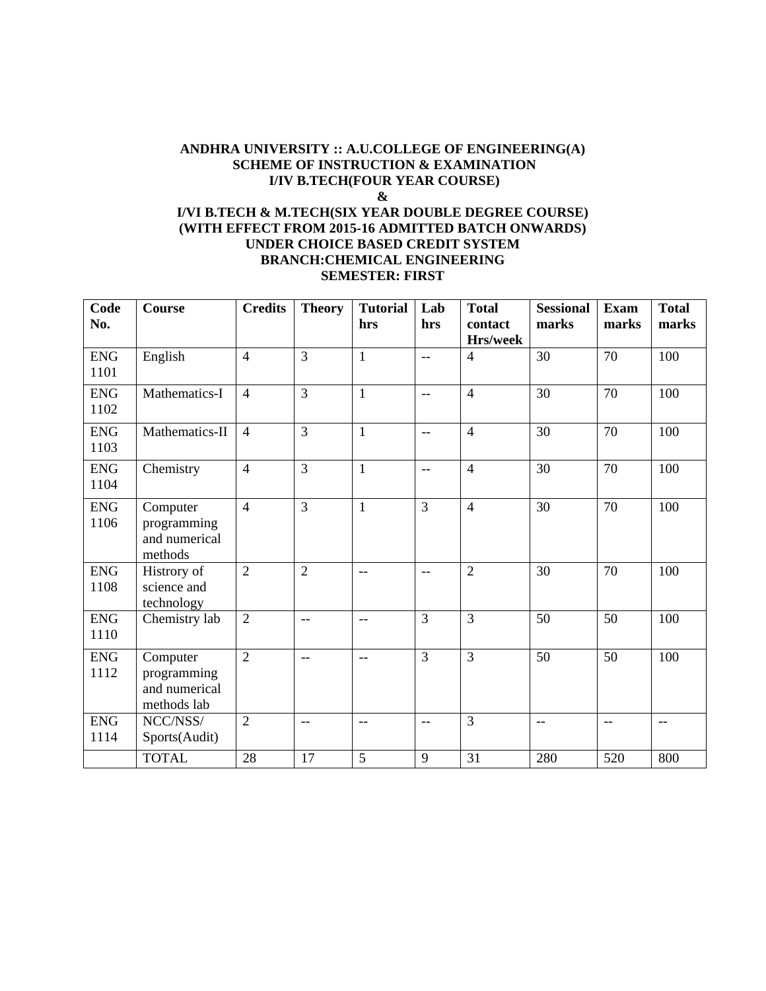#### **ANDHRA UNIVERSITY :: A.U.COLLEGE OF ENGINEERING(A) SCHEME OF INSTRUCTION & EXAMINATION I/IV B.TECH(FOUR YEAR COURSE) &**

## **I/VI B.TECH & M.TECH(SIX YEAR DOUBLE DEGREE COURSE) (WITH EFFECT FROM 2015-16 ADMITTED BATCH ONWARDS) UNDER CHOICE BASED CREDIT SYSTEM BRANCH:CHEMICAL ENGINEERING SEMESTER: FIRST**

| Code<br>No.        | <b>Course</b>                                           | <b>Credits</b> | <b>Theory</b>  | <b>Tutorial</b><br>hrs | Lab<br>hrs               | <b>Total</b><br>contact<br>Hrs/week | <b>Sessional</b><br>marks | <b>Exam</b><br>marks | <b>Total</b><br>marks |
|--------------------|---------------------------------------------------------|----------------|----------------|------------------------|--------------------------|-------------------------------------|---------------------------|----------------------|-----------------------|
| <b>ENG</b><br>1101 | English                                                 | $\overline{4}$ | $\overline{3}$ | $\mathbf{1}$           | $\overline{a}$           | $\overline{4}$                      | 30                        | 70                   | 100                   |
| <b>ENG</b><br>1102 | Mathematics-I                                           | $\overline{4}$ | $\overline{3}$ | $\mathbf{1}$           | $\overline{a}$           | $\overline{4}$                      | 30                        | 70                   | 100                   |
| <b>ENG</b><br>1103 | Mathematics-II                                          | $\overline{4}$ | $\overline{3}$ | $\mathbf{1}$           | $\overline{\phantom{a}}$ | $\overline{4}$                      | 30                        | 70                   | 100                   |
| <b>ENG</b><br>1104 | Chemistry                                               | $\overline{4}$ | $\overline{3}$ | $\mathbf{1}$           | $\overline{\phantom{m}}$ | $\overline{4}$                      | 30                        | 70                   | 100                   |
| <b>ENG</b><br>1106 | Computer<br>programming<br>and numerical<br>methods     | $\overline{4}$ | $\overline{3}$ | $\mathbf{1}$           | $\overline{3}$           | $\overline{4}$                      | $\overline{30}$           | $\overline{70}$      | 100                   |
| <b>ENG</b><br>1108 | Histrory of<br>science and<br>technology                | $\overline{2}$ | $\overline{2}$ | $-$                    | $-$                      | $\overline{2}$                      | 30                        | 70                   | 100                   |
| <b>ENG</b><br>1110 | Chemistry lab                                           | $\overline{2}$ | $-$            | $-$                    | $\overline{3}$           | $\overline{3}$                      | 50                        | 50                   | 100                   |
| <b>ENG</b><br>1112 | Computer<br>programming<br>and numerical<br>methods lab | $\overline{2}$ | $-$            | $-$                    | $\overline{3}$           | $\overline{3}$                      | 50                        | 50                   | 100                   |
| <b>ENG</b><br>1114 | NCC/NSS/<br>Sports(Audit)                               | $\overline{2}$ | $-$            | $-$                    | $-$                      | 3                                   | $-$                       | $-$                  | $\qquad \qquad -$     |
|                    | <b>TOTAL</b>                                            | 28             | 17             | 5                      | 9                        | 31                                  | 280                       | 520                  | 800                   |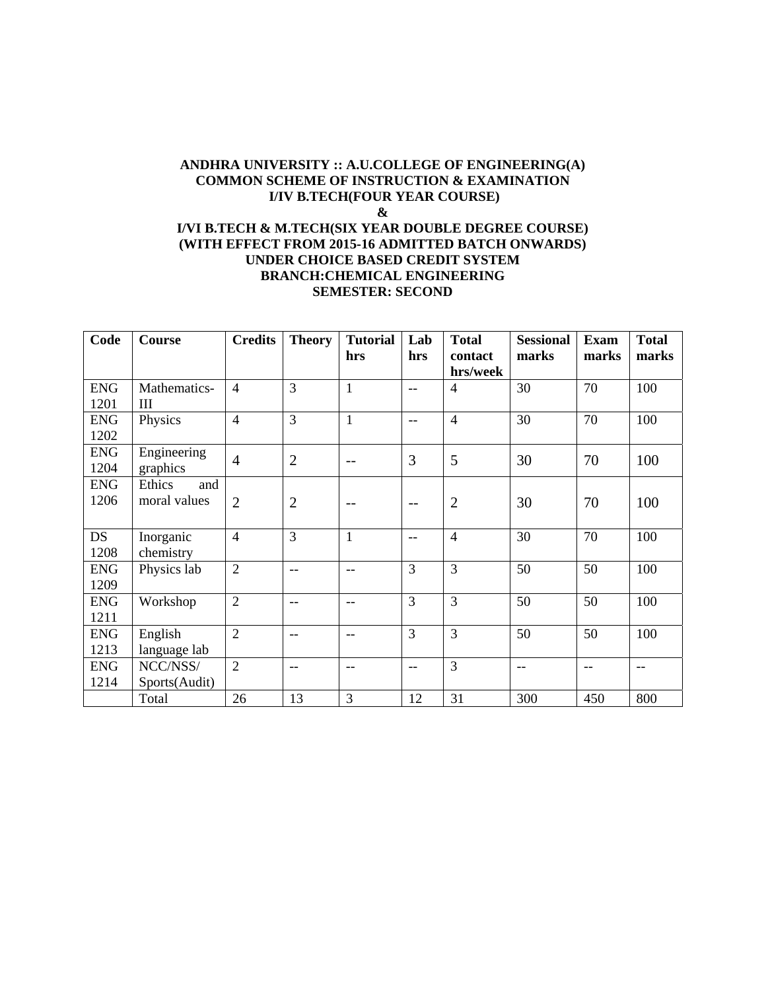#### **ANDHRA UNIVERSITY :: A.U.COLLEGE OF ENGINEERING(A) COMMON SCHEME OF INSTRUCTION & EXAMINATION I/IV B.TECH(FOUR YEAR COURSE) & I/VI B.TECH & M.TECH(SIX YEAR DOUBLE DEGREE COURSE) (WITH EFFECT FROM 2015-16 ADMITTED BATCH ONWARDS) UNDER CHOICE BASED CREDIT SYSTEM BRANCH:CHEMICAL ENGINEERING**

#### **SEMESTER: SECOND**

| Code       | <b>Course</b> | <b>Credits</b> | <b>Theory</b>  | <b>Tutorial</b> | Lab           | <b>Total</b>   | <b>Sessional</b> | <b>Exam</b> | <b>Total</b> |
|------------|---------------|----------------|----------------|-----------------|---------------|----------------|------------------|-------------|--------------|
|            |               |                |                | hrs             | hrs           | contact        | marks            | marks       | marks        |
|            |               |                |                |                 |               | hrs/week       |                  |             |              |
| <b>ENG</b> | Mathematics-  | $\overline{4}$ | 3              | $\mathbf{1}$    | $- -$         | 4              | 30               | 70          | 100          |
| 1201       | Ш             |                |                |                 |               |                |                  |             |              |
| <b>ENG</b> | Physics       | $\overline{4}$ | 3              | $\mathbf{1}$    | $- -$         | $\overline{4}$ | 30               | 70          | 100          |
| 1202       |               |                |                |                 |               |                |                  |             |              |
| <b>ENG</b> | Engineering   | $\overline{4}$ | $\overline{2}$ | --              | 3             | 5              | 30               | 70          | 100          |
| 1204       | graphics      |                |                |                 |               |                |                  |             |              |
| <b>ENG</b> | Ethics<br>and |                |                |                 |               |                |                  |             |              |
| 1206       | moral values  | $\overline{2}$ | $\overline{2}$ |                 | $- -$         | $\overline{2}$ | 30               | 70          | 100          |
|            |               |                |                |                 |               |                |                  |             |              |
| <b>DS</b>  | Inorganic     | $\overline{4}$ | 3              | $\mathbf{1}$    | $- -$         | $\overline{4}$ | 30               | 70          | 100          |
| 1208       | chemistry     |                |                |                 |               |                |                  |             |              |
| <b>ENG</b> | Physics lab   | $\overline{2}$ | $-$            | $-$             | 3             | 3              | 50               | 50          | 100          |
| 1209       |               |                |                |                 |               |                |                  |             |              |
| <b>ENG</b> | Workshop      | $\overline{2}$ | $-$            | $-$             | 3             | 3              | 50               | 50          | 100          |
| 1211       |               |                |                |                 |               |                |                  |             |              |
| <b>ENG</b> | English       | $\overline{2}$ | $-$            | --              | 3             | 3              | 50               | 50          | 100          |
| 1213       | language lab  |                |                |                 |               |                |                  |             |              |
| <b>ENG</b> | NCC/NSS/      | $\overline{2}$ | $-$            | $-$             | $\frac{1}{2}$ | 3              | $- -$            | $-$         | $- -$        |
| 1214       | Sports(Audit) |                |                |                 |               |                |                  |             |              |
|            | Total         | 26             | 13             | 3               | 12            | 31             | 300              | 450         | 800          |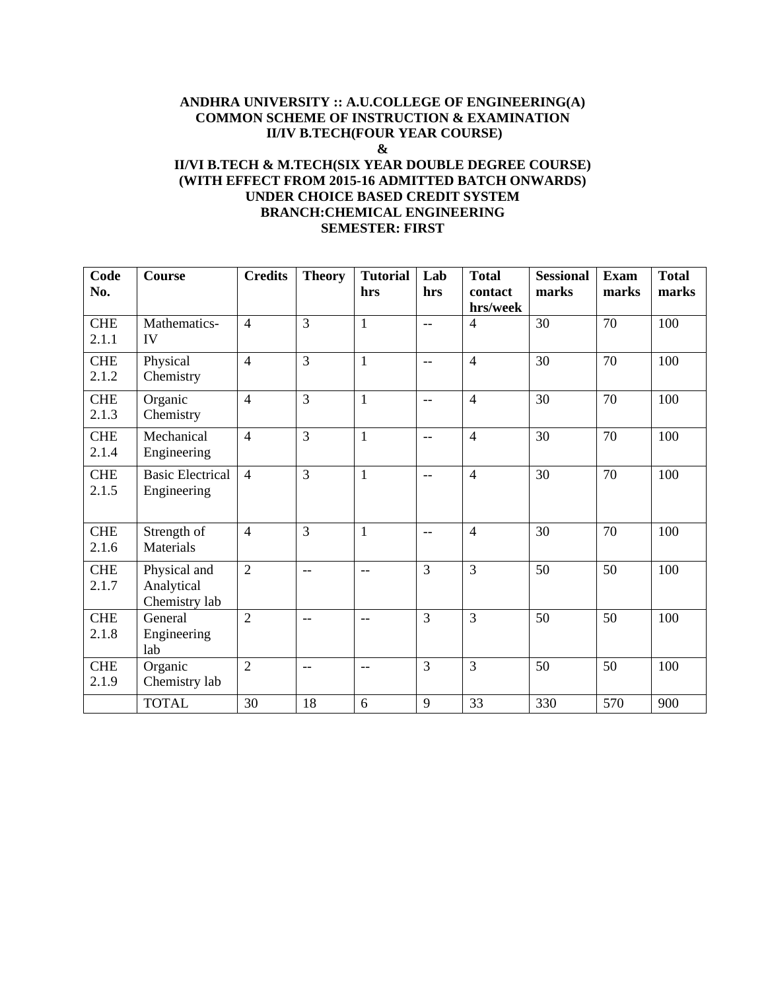## **ANDHRA UNIVERSITY :: A.U.COLLEGE OF ENGINEERING(A) COMMON SCHEME OF INSTRUCTION & EXAMINATION II/IV B.TECH(FOUR YEAR COURSE) & II/VI B.TECH & M.TECH(SIX YEAR DOUBLE DEGREE COURSE) (WITH EFFECT FROM 2015-16 ADMITTED BATCH ONWARDS)**

#### **UNDER CHOICE BASED CREDIT SYSTEM BRANCH:CHEMICAL ENGINEERING SEMESTER: FIRST**

| Code<br>No.         | Course                                      | <b>Credits</b> | <b>Theory</b>  | <b>Tutorial</b><br>hrs | Lab<br>hrs     | <b>Total</b><br>contact | <b>Sessional</b><br>marks | <b>Exam</b><br>marks | <b>Total</b><br>marks |
|---------------------|---------------------------------------------|----------------|----------------|------------------------|----------------|-------------------------|---------------------------|----------------------|-----------------------|
|                     |                                             |                |                |                        |                | hrs/week                |                           |                      |                       |
| <b>CHE</b><br>2.1.1 | Mathematics-<br>IV                          | $\overline{4}$ | $\overline{3}$ | $\mathbf{1}$           | $-$            | $\overline{4}$          | 30                        | 70                   | 100                   |
| <b>CHE</b><br>2.1.2 | Physical<br>Chemistry                       | $\overline{4}$ | $\overline{3}$ | $\mathbf{1}$           | $-$            | $\overline{4}$          | 30                        | 70                   | 100                   |
| <b>CHE</b><br>2.1.3 | Organic<br>Chemistry                        | $\overline{4}$ | $\overline{3}$ | $\mathbf{1}$           | $-$            | $\overline{4}$          | 30                        | 70                   | 100                   |
| <b>CHE</b><br>2.1.4 | Mechanical<br>Engineering                   | $\overline{4}$ | $\overline{3}$ | $\mathbf{1}$           | $-$            | $\overline{4}$          | 30                        | 70                   | 100                   |
| <b>CHE</b><br>2.1.5 | <b>Basic Electrical</b><br>Engineering      | $\overline{4}$ | $\overline{3}$ | $\mathbf{1}$           | $-$            | $\overline{4}$          | 30                        | 70                   | 100                   |
| <b>CHE</b><br>2.1.6 | Strength of<br>Materials                    | $\overline{4}$ | 3              | $\mathbf{1}$           | $-$            | $\overline{4}$          | 30                        | 70                   | 100                   |
| <b>CHE</b><br>2.1.7 | Physical and<br>Analytical<br>Chemistry lab | $\overline{2}$ | $-$            | $-$                    | $\overline{3}$ | $\overline{3}$          | 50                        | 50                   | 100                   |
| <b>CHE</b><br>2.1.8 | General<br>Engineering<br>lab               | $\overline{2}$ | $-$            | $-$                    | $\overline{3}$ | $\overline{3}$          | 50                        | 50                   | 100                   |
| <b>CHE</b><br>2.1.9 | Organic<br>Chemistry lab                    | $\overline{2}$ | $-$            | $-$                    | 3              | $\overline{3}$          | 50                        | 50                   | 100                   |
|                     | <b>TOTAL</b>                                | 30             | 18             | 6                      | 9              | 33                      | 330                       | 570                  | 900                   |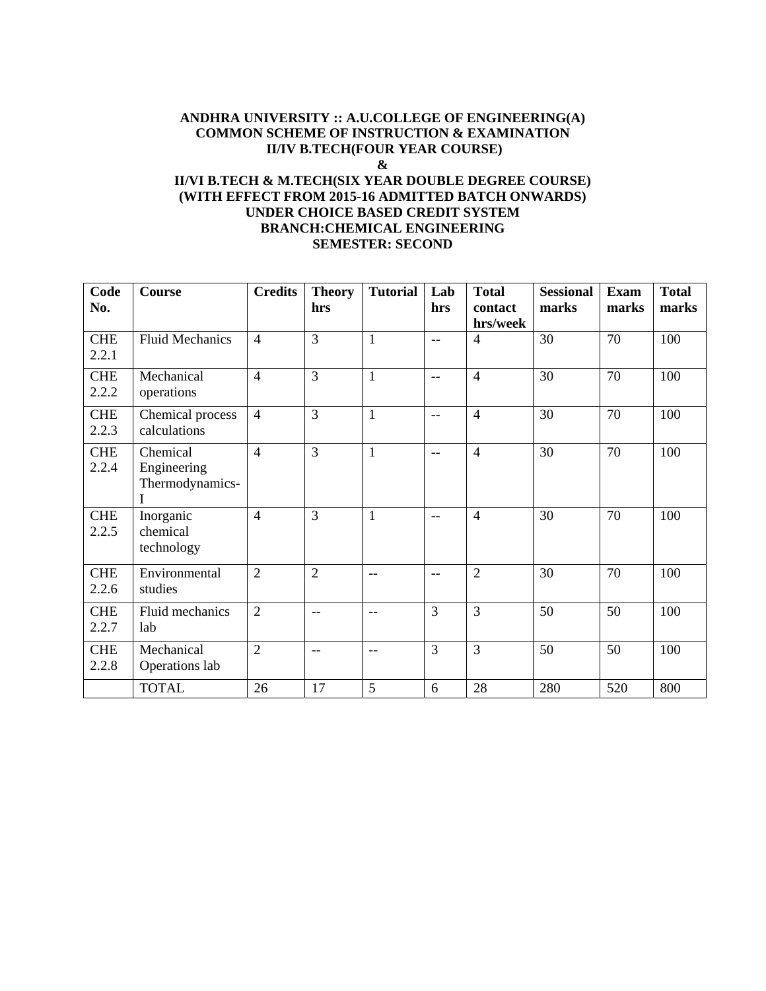#### **ANDHRA UNIVERSITY :: A.U.COLLEGE OF ENGINEERING(A) COMMON SCHEME OF INSTRUCTION & EXAMINATION II/IV B.TECH(FOUR YEAR COURSE) &**

## **II/VI B.TECH & M.TECH(SIX YEAR DOUBLE DEGREE COURSE) (WITH EFFECT FROM 2015-16 ADMITTED BATCH ONWARDS) UNDER CHOICE BASED CREDIT SYSTEM BRANCH:CHEMICAL ENGINEERING SEMESTER: SECOND**

| Code                | Course                                     | <b>Credits</b> | <b>Theory</b>  | <b>Tutorial</b>   | Lab                      | <b>Total</b>        | <b>Sessional</b> | <b>Exam</b> | <b>Total</b> |
|---------------------|--------------------------------------------|----------------|----------------|-------------------|--------------------------|---------------------|------------------|-------------|--------------|
| No.                 |                                            |                | hrs            |                   | hrs                      | contact<br>hrs/week | marks            | marks       | marks        |
| <b>CHE</b><br>2.2.1 | <b>Fluid Mechanics</b>                     | $\overline{4}$ | $\overline{3}$ | $\mathbf{1}$      | $-$                      | $\overline{4}$      | 30               | 70          | 100          |
| <b>CHE</b><br>2.2.2 | Mechanical<br>operations                   | $\overline{4}$ | $\overline{3}$ | $\mathbf{1}$      | $- -$                    | $\overline{4}$      | 30               | 70          | 100          |
| <b>CHE</b><br>2.2.3 | Chemical process<br>calculations           | $\overline{4}$ | $\overline{3}$ | $\mathbf{1}$      | $-$                      | $\overline{4}$      | 30               | 70          | 100          |
| <b>CHE</b><br>2.2.4 | Chemical<br>Engineering<br>Thermodynamics- | $\overline{4}$ | $\overline{3}$ | $\mathbf{1}$      | $- -$                    | $\overline{4}$      | 30               | 70          | 100          |
| <b>CHE</b><br>2.2.5 | Inorganic<br>chemical<br>technology        | $\overline{4}$ | $\overline{3}$ | $\mathbf{1}$      | $-$                      | $\overline{4}$      | 30               | 70          | 100          |
| <b>CHE</b><br>2.2.6 | Environmental<br>studies                   | $\overline{2}$ | $\overline{2}$ | $-$               | $\overline{\phantom{m}}$ | $\overline{2}$      | 30               | 70          | 100          |
| <b>CHE</b><br>2.2.7 | Fluid mechanics<br><b>lab</b>              | $\overline{2}$ | $- -$          | $\frac{1}{2}$     | $\overline{3}$           | $\overline{3}$      | 50               | 50          | 100          |
| <b>CHE</b><br>2.2.8 | Mechanical<br>Operations lab               | $\overline{2}$ | $-$            | $\qquad \qquad -$ | $\overline{3}$           | $\overline{3}$      | 50               | 50          | 100          |
|                     | <b>TOTAL</b>                               | 26             | 17             | 5                 | 6                        | 28                  | 280              | 520         | 800          |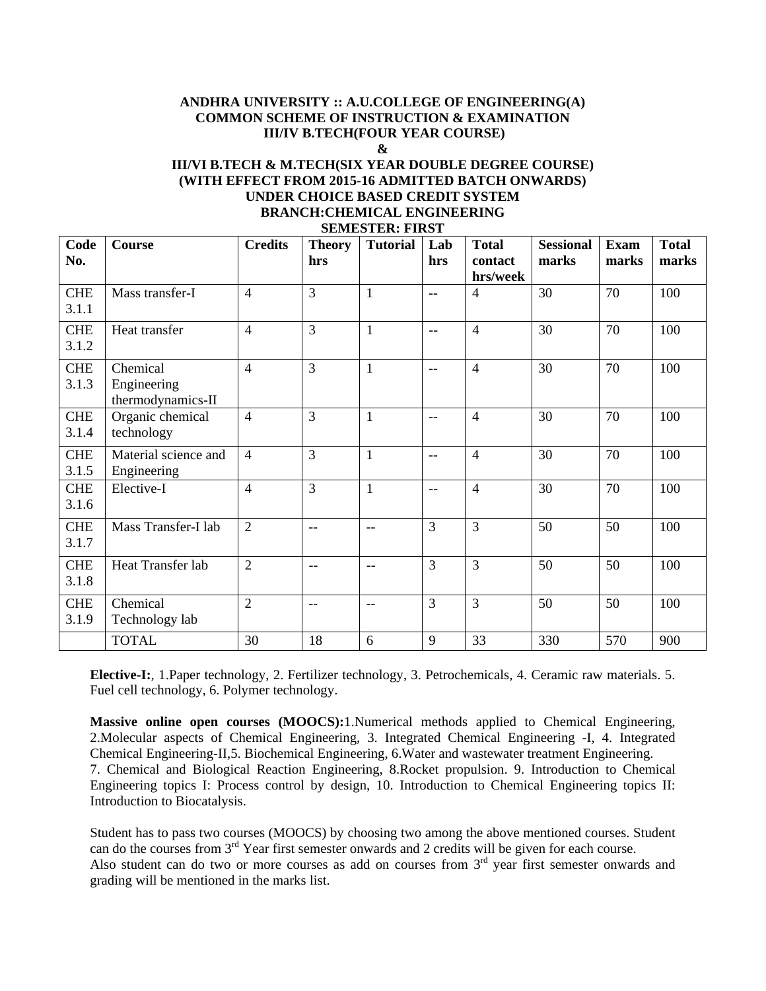# **ANDHRA UNIVERSITY :: A.U.COLLEGE OF ENGINEERING(A) COMMON SCHEME OF INSTRUCTION & EXAMINATION III/IV B.TECH(FOUR YEAR COURSE)**

#### **&**

#### **III/VI B.TECH & M.TECH(SIX YEAR DOUBLE DEGREE COURSE) (WITH EFFECT FROM 2015-16 ADMITTED BATCH ONWARDS) UNDER CHOICE BASED CREDIT SYSTEM BRANCH:CHEMICAL ENGINEERING SEMESTER: FIRST**

|                     |                                              |                |                      | DEMIED I EIN. I IND I    |               |                                     |                           |                      |                       |
|---------------------|----------------------------------------------|----------------|----------------------|--------------------------|---------------|-------------------------------------|---------------------------|----------------------|-----------------------|
| Code<br>No.         | Course                                       | <b>Credits</b> | <b>Theory</b><br>hrs | <b>Tutorial</b>          | Lab<br>hrs    | <b>Total</b><br>contact<br>hrs/week | <b>Sessional</b><br>marks | <b>Exam</b><br>marks | <b>Total</b><br>marks |
| <b>CHE</b><br>3.1.1 | Mass transfer-I                              | $\overline{4}$ | 3                    | $\mathbf{1}$             | $\frac{1}{2}$ | $\overline{4}$                      | 30                        | 70                   | 100                   |
| <b>CHE</b><br>3.1.2 | Heat transfer                                | $\overline{4}$ | 3                    | $\mathbf{1}$             | $-$           | $\overline{4}$                      | 30                        | 70                   | 100                   |
| <b>CHE</b><br>3.1.3 | Chemical<br>Engineering<br>thermodynamics-II | $\overline{4}$ | 3                    | $\mathbf{1}$             | $-$           | $\overline{4}$                      | 30                        | 70                   | 100                   |
| <b>CHE</b><br>3.1.4 | Organic chemical<br>technology               | $\overline{4}$ | 3                    | $\mathbf{1}$             | $-$           | $\overline{4}$                      | 30                        | 70                   | 100                   |
| <b>CHE</b><br>3.1.5 | Material science and<br>Engineering          | $\overline{4}$ | 3                    | $\mathbf{1}$             | $-$           | $\overline{4}$                      | 30                        | 70                   | 100                   |
| <b>CHE</b><br>3.1.6 | Elective-I                                   | $\overline{4}$ | 3                    | $\mathbf{1}$             | $-$           | $\overline{4}$                      | 30                        | 70                   | 100                   |
| <b>CHE</b><br>3.1.7 | Mass Transfer-I lab                          | $\overline{2}$ | $-$                  | $\frac{1}{2}$            | 3             | 3                                   | 50                        | 50                   | 100                   |
| <b>CHE</b><br>3.1.8 | Heat Transfer lab                            | $\overline{2}$ | $-$                  | $\overline{\phantom{m}}$ | 3             | $\overline{3}$                      | 50                        | 50                   | 100                   |
| <b>CHE</b><br>3.1.9 | Chemical<br>Technology lab                   | $\overline{2}$ | $\qquad \qquad -$    | $\overline{\phantom{m}}$ | 3             | $\overline{3}$                      | 50                        | 50                   | 100                   |
|                     | <b>TOTAL</b>                                 | 30             | 18                   | 6                        | 9             | 33                                  | 330                       | 570                  | 900                   |

**Elective-I:**, 1.Paper technology, 2. Fertilizer technology, 3. Petrochemicals, 4. Ceramic raw materials. 5. Fuel cell technology, 6. Polymer technology.

**Massive online open courses (MOOCS):**1.Numerical methods applied to Chemical Engineering, 2.Molecular aspects of Chemical Engineering, 3. Integrated Chemical Engineering -I, 4. Integrated Chemical Engineering-II,5. Biochemical Engineering, 6.Water and wastewater treatment Engineering. 7. Chemical and Biological Reaction Engineering, 8.Rocket propulsion. 9. Introduction to Chemical Engineering topics I: Process control by design, 10. Introduction to Chemical Engineering topics II: Introduction to Biocatalysis.

Student has to pass two courses (MOOCS) by choosing two among the above mentioned courses. Student can do the courses from 3<sup>rd</sup> Year first semester onwards and 2 credits will be given for each course. Also student can do two or more courses as add on courses from  $3<sup>rd</sup>$  year first semester onwards and grading will be mentioned in the marks list.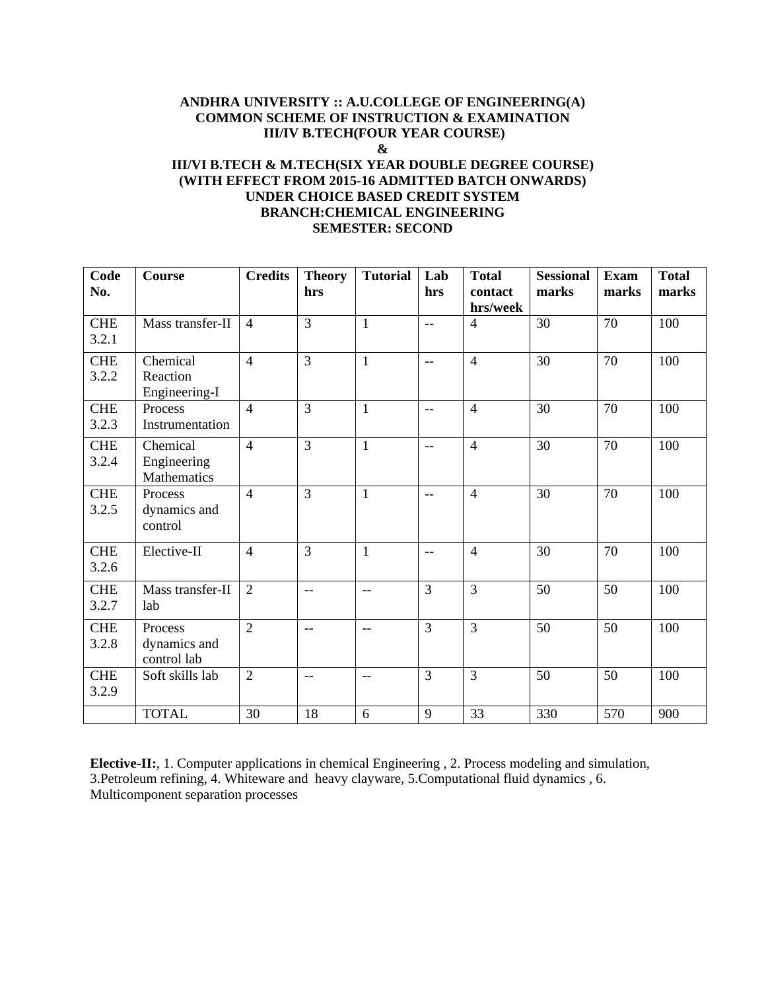## **ANDHRA UNIVERSITY :: A.U.COLLEGE OF ENGINEERING(A) COMMON SCHEME OF INSTRUCTION & EXAMINATION III/IV B.TECH(FOUR YEAR COURSE) & III/VI B.TECH & M.TECH(SIX YEAR DOUBLE DEGREE COURSE) (WITH EFFECT FROM 2015-16 ADMITTED BATCH ONWARDS)**

#### **UNDER CHOICE BASED CREDIT SYSTEM BRANCH:CHEMICAL ENGINEERING SEMESTER: SECOND**

| Code<br>No.         | Course                                 | <b>Credits</b> | <b>Theory</b><br>hrs | <b>Tutorial</b> | Lab<br>hrs        | <b>Total</b><br>contact<br>hrs/week | <b>Sessional</b><br>marks | <b>Exam</b><br>marks | <b>Total</b><br>marks |
|---------------------|----------------------------------------|----------------|----------------------|-----------------|-------------------|-------------------------------------|---------------------------|----------------------|-----------------------|
| <b>CHE</b><br>3.2.1 | Mass transfer-II                       | $\overline{4}$ | $\overline{3}$       | $\mathbf{1}$    | $-$               | $\overline{4}$                      | 30                        | 70                   | 100                   |
| <b>CHE</b><br>3.2.2 | Chemical<br>Reaction<br>Engineering-I  | $\overline{4}$ | $\overline{3}$       | $\mathbf{1}$    | $-$               | $\overline{4}$                      | 30                        | 70                   | 100                   |
| <b>CHE</b><br>3.2.3 | Process<br>Instrumentation             | $\overline{4}$ | $\overline{3}$       | $\mathbf{1}$    | $-$               | $\overline{4}$                      | 30                        | 70                   | 100                   |
| <b>CHE</b><br>3.2.4 | Chemical<br>Engineering<br>Mathematics | $\overline{4}$ | $\overline{3}$       | $\mathbf{1}$    | $\qquad \qquad -$ | $\overline{4}$                      | 30                        | 70                   | 100                   |
| <b>CHE</b><br>3.2.5 | Process<br>dynamics and<br>control     | $\overline{4}$ | $\overline{3}$       | $\mathbf{1}$    | $-$               | $\overline{4}$                      | 30                        | 70                   | 100                   |
| <b>CHE</b><br>3.2.6 | Elective-II                            | $\overline{4}$ | $\overline{3}$       | $\mathbf{1}$    | $- -$             | $\overline{4}$                      | 30                        | 70                   | 100                   |
| <b>CHE</b><br>3.2.7 | Mass transfer-II<br>lab                | $\overline{2}$ | $-$                  | $-$             | $\overline{3}$    | $\overline{3}$                      | 50                        | 50                   | 100                   |
| <b>CHE</b><br>3.2.8 | Process<br>dynamics and<br>control lab | $\overline{2}$ | $-$                  | $-$             | $\overline{3}$    | $\overline{3}$                      | 50                        | 50                   | 100                   |
| <b>CHE</b><br>3.2.9 | Soft skills lab                        | $\overline{2}$ | $-$                  | $-$             | $\overline{3}$    | $\overline{3}$                      | 50                        | 50                   | 100                   |
|                     | <b>TOTAL</b>                           | 30             | 18                   | 6               | 9                 | 33                                  | 330                       | 570                  | 900                   |

**Elective-II:**, 1. Computer applications in chemical Engineering , 2. Process modeling and simulation, 3.Petroleum refining, 4. Whiteware and heavy clayware, 5.Computational fluid dynamics , 6. Multicomponent separation processes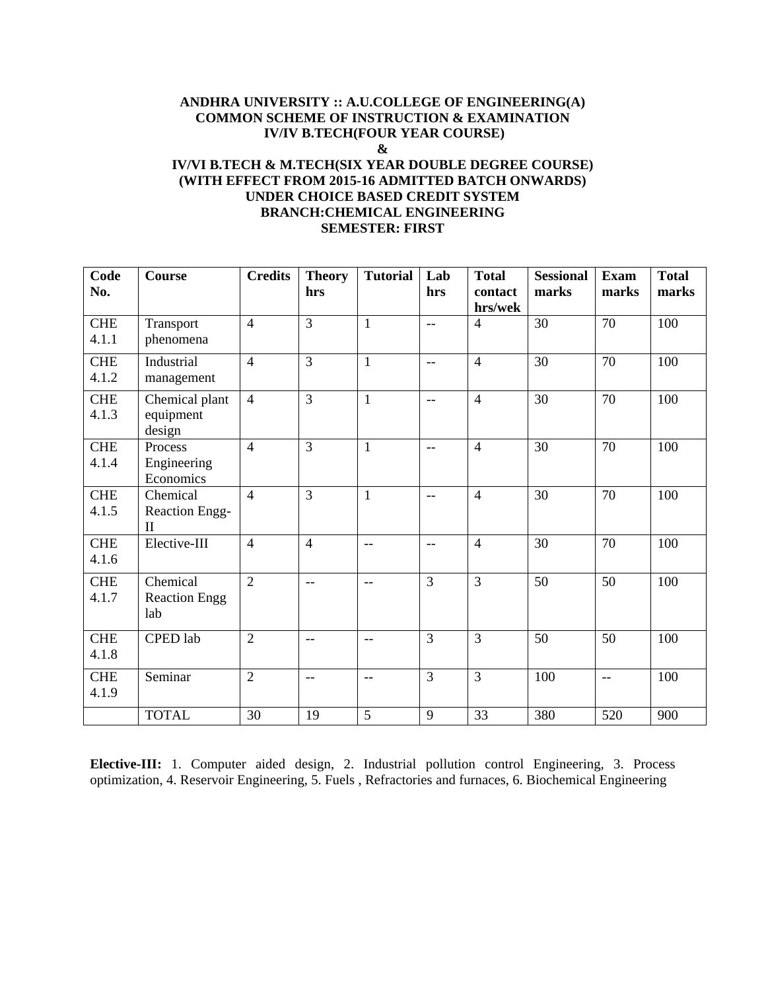#### **ANDHRA UNIVERSITY :: A.U.COLLEGE OF ENGINEERING(A) COMMON SCHEME OF INSTRUCTION & EXAMINATION IV/IV B.TECH(FOUR YEAR COURSE) & IV/VI B.TECH & M.TECH(SIX YEAR DOUBLE DEGREE COURSE) (WITH EFFECT FROM 2015-16 ADMITTED BATCH ONWARDS) UNDER CHOICE BASED CREDIT SYSTEM**

## **BRANCH:CHEMICAL ENGINEERING SEMESTER: FIRST**

| Code<br>No.         | <b>Course</b>                                     | <b>Credits</b> | <b>Theory</b><br>hrs     | <b>Tutorial</b>          | Lab<br>hrs               | <b>Total</b><br>contact | <b>Sessional</b><br>marks | <b>Exam</b><br>marks     | <b>Total</b><br>marks |
|---------------------|---------------------------------------------------|----------------|--------------------------|--------------------------|--------------------------|-------------------------|---------------------------|--------------------------|-----------------------|
|                     |                                                   |                |                          |                          |                          | hrs/wek                 |                           |                          |                       |
| <b>CHE</b><br>4.1.1 | Transport<br>phenomena                            | $\overline{4}$ | 3                        | $\mathbf{1}$             | $\overline{\phantom{a}}$ | $\overline{4}$          | 30                        | 70                       | 100                   |
| <b>CHE</b><br>4.1.2 | Industrial<br>management                          | $\overline{4}$ | $\overline{3}$           | $\mathbf{1}$             | $\overline{\phantom{a}}$ | $\overline{4}$          | 30                        | 70                       | 100                   |
| <b>CHE</b><br>4.1.3 | Chemical plant<br>equipment<br>design             | $\overline{4}$ | $\overline{3}$           | $\mathbf{1}$             | $-$                      | $\overline{4}$          | 30                        | 70                       | 100                   |
| <b>CHE</b><br>4.1.4 | Process<br>Engineering<br>Economics               | $\overline{4}$ | $\overline{3}$           | $\mathbf{1}$             | $\overline{\phantom{a}}$ | $\overline{4}$          | 30                        | 70                       | 100                   |
| <b>CHE</b><br>4.1.5 | Chemical<br><b>Reaction Engg-</b><br>$\mathbf{I}$ | $\overline{4}$ | $\overline{3}$           | $\mathbf{1}$             | $\overline{\phantom{m}}$ | $\overline{4}$          | 30                        | 70                       | 100                   |
| <b>CHE</b><br>4.1.6 | Elective-III                                      | $\overline{4}$ | $\overline{4}$           | $\overline{\phantom{m}}$ | $\overline{\phantom{a}}$ | $\overline{4}$          | 30                        | 70                       | 100                   |
| <b>CHE</b><br>4.1.7 | Chemical<br><b>Reaction Engg</b><br>lab           | $\overline{2}$ | $\mathbf{u}$             | $-$                      | $\overline{3}$           | $\overline{3}$          | 50                        | 50                       | 100                   |
| <b>CHE</b><br>4.1.8 | CPED lab                                          | $\overline{2}$ | $- -$                    | $- -$                    | $\overline{3}$           | 3                       | 50                        | 50                       | 100                   |
| <b>CHE</b><br>4.1.9 | Seminar                                           | $\overline{2}$ | $\overline{\phantom{m}}$ | $\overline{\phantom{m}}$ | $\overline{3}$           | 3                       | 100                       | $\overline{\phantom{a}}$ | 100                   |
|                     | <b>TOTAL</b>                                      | 30             | 19                       | 5                        | 9                        | 33                      | 380                       | 520                      | 900                   |

**Elective-III:** 1. Computer aided design, 2. Industrial pollution control Engineering, 3. Process optimization, 4. Reservoir Engineering, 5. Fuels , Refractories and furnaces, 6. Biochemical Engineering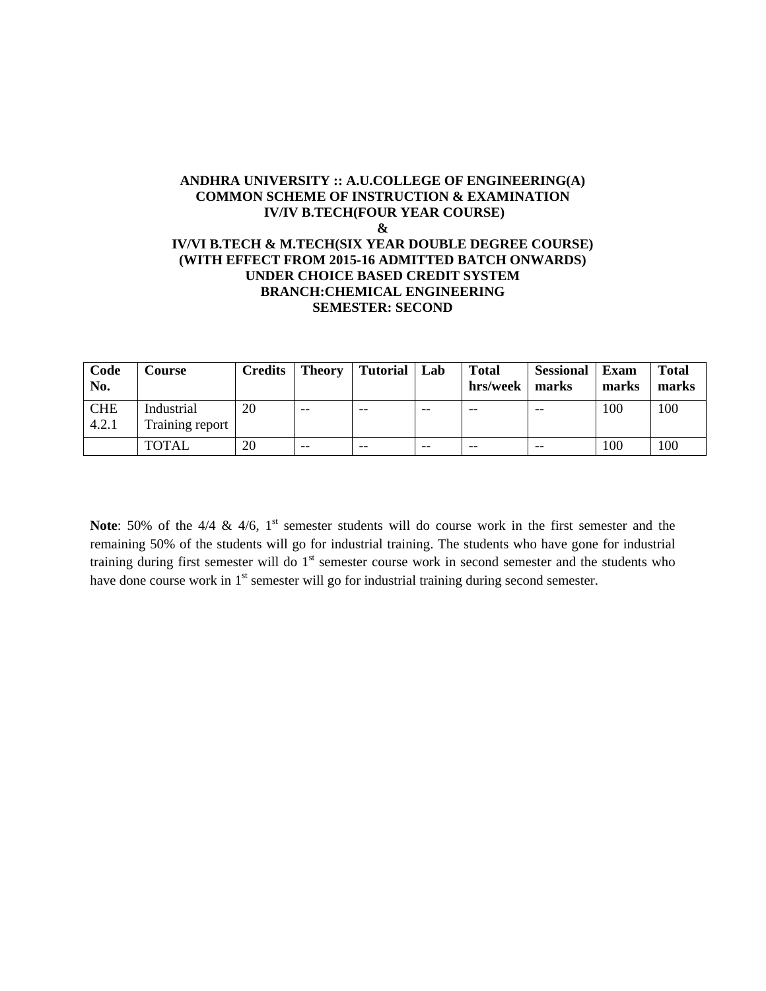#### **ANDHRA UNIVERSITY :: A.U.COLLEGE OF ENGINEERING(A) COMMON SCHEME OF INSTRUCTION & EXAMINATION IV/IV B.TECH(FOUR YEAR COURSE) & IV/VI B.TECH & M.TECH(SIX YEAR DOUBLE DEGREE COURSE) (WITH EFFECT FROM 2015-16 ADMITTED BATCH ONWARDS) UNDER CHOICE BASED CREDIT SYSTEM BRANCH:CHEMICAL ENGINEERING SEMESTER: SECOND**

| Code<br>No.         | <b>Course</b>                 | Credits <sup>1</sup> | Theory | <b>Tutorial</b> | Lab | <b>Total</b><br>hrs/week   marks | <b>Sessional</b> | Exam<br>marks | <b>Total</b><br>marks |
|---------------------|-------------------------------|----------------------|--------|-----------------|-----|----------------------------------|------------------|---------------|-----------------------|
| <b>CHE</b><br>4.2.1 | Industrial<br>Training report | 20                   | $- -$  | $- -$           | --  | --                               | $- -$            | 100           | 100                   |
|                     | <b>TOTAL</b>                  | 20                   | $- -$  | $- -$           | --  | --                               | $- -$            | 100           | 100                   |

**Note**: 50% of the 4/4 & 4/6, 1<sup>st</sup> semester students will do course work in the first semester and the remaining 50% of the students will go for industrial training. The students who have gone for industrial training during first semester will do 1<sup>st</sup> semester course work in second semester and the students who have done course work in 1<sup>st</sup> semester will go for industrial training during second semester.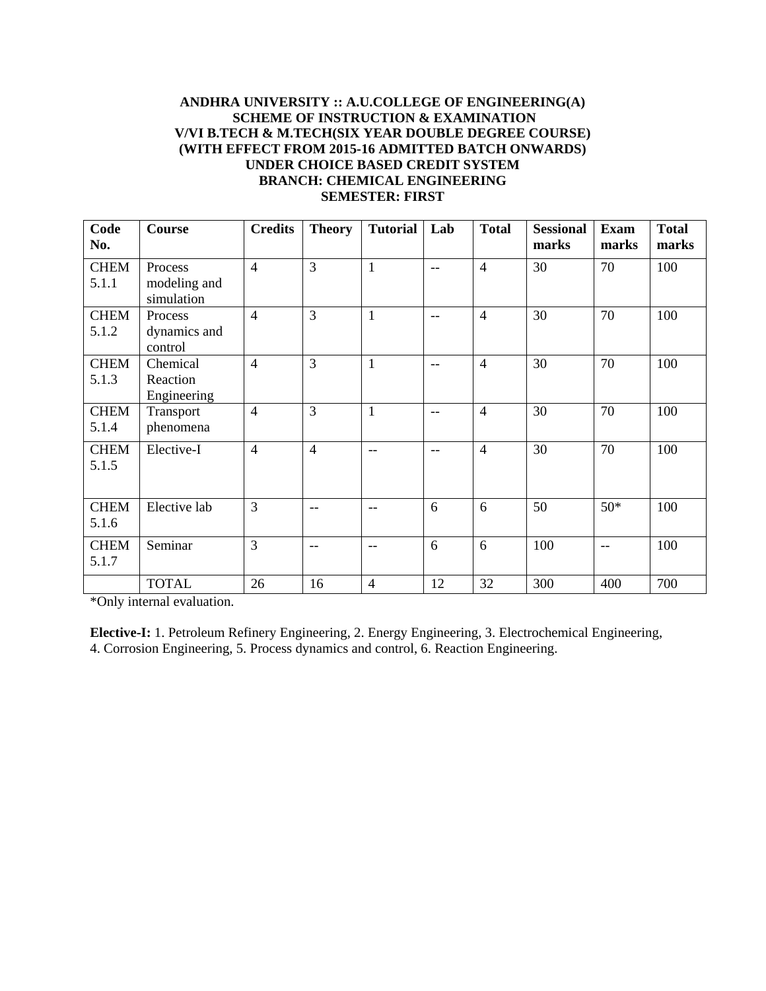#### **ANDHRA UNIVERSITY :: A.U.COLLEGE OF ENGINEERING(A) SCHEME OF INSTRUCTION & EXAMINATION V/VI B.TECH & M.TECH(SIX YEAR DOUBLE DEGREE COURSE) (WITH EFFECT FROM 2015-16 ADMITTED BATCH ONWARDS) UNDER CHOICE BASED CREDIT SYSTEM BRANCH: CHEMICAL ENGINEERING SEMESTER: FIRST**

| Code<br>No.          | <b>Course</b>                         | <b>Credits</b> | <b>Theory</b>  | <b>Tutorial</b> | Lab | <b>Total</b>   | <b>Sessional</b><br>marks | <b>Exam</b><br>marks | <b>Total</b><br>marks |
|----------------------|---------------------------------------|----------------|----------------|-----------------|-----|----------------|---------------------------|----------------------|-----------------------|
| <b>CHEM</b><br>5.1.1 | Process<br>modeling and<br>simulation | $\overline{4}$ | 3              | $\mathbf{1}$    | $-$ | $\overline{4}$ | 30                        | 70                   | 100                   |
| <b>CHEM</b><br>5.1.2 | Process<br>dynamics and<br>control    | $\overline{4}$ | 3              | $\mathbf{1}$    | $-$ | $\overline{4}$ | 30                        | 70                   | 100                   |
| <b>CHEM</b><br>5.1.3 | Chemical<br>Reaction<br>Engineering   | $\overline{4}$ | 3              | $\mathbf{1}$    | $-$ | $\overline{4}$ | 30                        | 70                   | 100                   |
| <b>CHEM</b><br>5.1.4 | Transport<br>phenomena                | $\overline{4}$ | 3              | $\mathbf{1}$    | $-$ | $\overline{4}$ | 30                        | 70                   | 100                   |
| <b>CHEM</b><br>5.1.5 | Elective-I                            | $\overline{4}$ | $\overline{4}$ | $-$             | $-$ | $\overline{4}$ | 30                        | 70                   | 100                   |
| <b>CHEM</b><br>5.1.6 | Elective lab                          | 3              | $-$            | $-$             | 6   | 6              | 50                        | $50*$                | 100                   |
| <b>CHEM</b><br>5.1.7 | Seminar                               | $\overline{3}$ | $-$            | $-$             | 6   | 6              | 100                       | $-$                  | 100                   |
|                      | <b>TOTAL</b>                          | 26             | 16             | 4               | 12  | 32             | 300                       | 400                  | 700                   |

\*Only internal evaluation.

**Elective-I:** 1. Petroleum Refinery Engineering, 2. Energy Engineering, 3. Electrochemical Engineering, 4. Corrosion Engineering, 5. Process dynamics and control, 6. Reaction Engineering.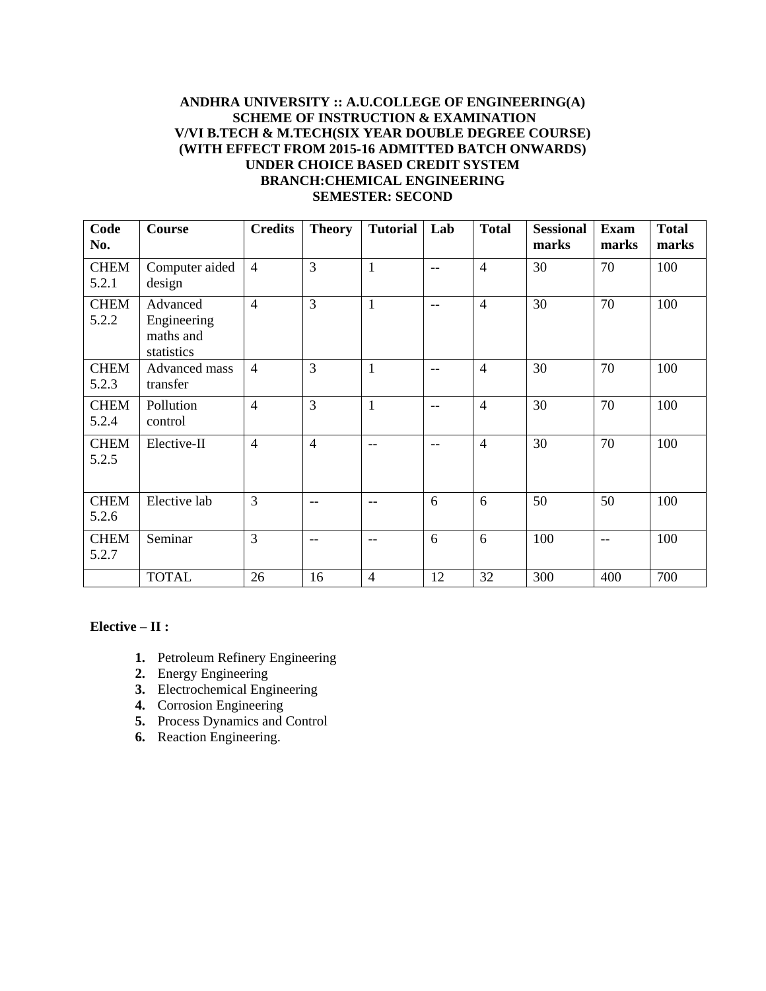### **ANDHRA UNIVERSITY :: A.U.COLLEGE OF ENGINEERING(A) SCHEME OF INSTRUCTION & EXAMINATION V/VI B.TECH & M.TECH(SIX YEAR DOUBLE DEGREE COURSE) (WITH EFFECT FROM 2015-16 ADMITTED BATCH ONWARDS) UNDER CHOICE BASED CREDIT SYSTEM BRANCH:CHEMICAL ENGINEERING SEMESTER: SECOND**

| Code<br>No.          | <b>Course</b>                                      | <b>Credits</b> | <b>Theory</b>  | <b>Tutorial</b> | Lab   | <b>Total</b>   | <b>Sessional</b><br>marks | <b>Exam</b><br>marks | <b>Total</b><br>marks |
|----------------------|----------------------------------------------------|----------------|----------------|-----------------|-------|----------------|---------------------------|----------------------|-----------------------|
| <b>CHEM</b><br>5.2.1 | Computer aided<br>design                           | $\overline{4}$ | 3              | $\mathbf{1}$    | $- -$ | $\overline{4}$ | 30                        | 70                   | 100                   |
| <b>CHEM</b><br>5.2.2 | Advanced<br>Engineering<br>maths and<br>statistics | $\overline{4}$ | 3              | $\mathbf{1}$    | $-$   | $\overline{4}$ | 30                        | 70                   | 100                   |
| <b>CHEM</b><br>5.2.3 | Advanced mass<br>transfer                          | $\overline{4}$ | $\overline{3}$ | $\mathbf{1}$    | $-$   | $\overline{4}$ | 30                        | 70                   | 100                   |
| <b>CHEM</b><br>5.2.4 | Pollution<br>control                               | $\overline{4}$ | $\overline{3}$ | $\mathbf{1}$    | $- -$ | $\overline{4}$ | 30                        | 70                   | 100                   |
| <b>CHEM</b><br>5.2.5 | Elective-II                                        | $\overline{4}$ | $\overline{4}$ | $-$             | $-$   | $\overline{4}$ | 30                        | 70                   | 100                   |
| <b>CHEM</b><br>5.2.6 | Elective lab                                       | $\overline{3}$ | $-$            | $-$             | 6     | 6              | 50                        | 50                   | 100                   |
| <b>CHEM</b><br>5.2.7 | Seminar                                            | $\overline{3}$ | $-$            | $-$             | 6     | 6              | 100                       | $-$                  | 100                   |
|                      | <b>TOTAL</b>                                       | 26             | 16             | $\overline{4}$  | 12    | 32             | 300                       | 400                  | 700                   |

#### **Elective – II :**

- **1.** Petroleum Refinery Engineering
- **2.** Energy Engineering
- **3.** Electrochemical Engineering
- **4.** Corrosion Engineering
- **5.** Process Dynamics and Control
- **6.** Reaction Engineering.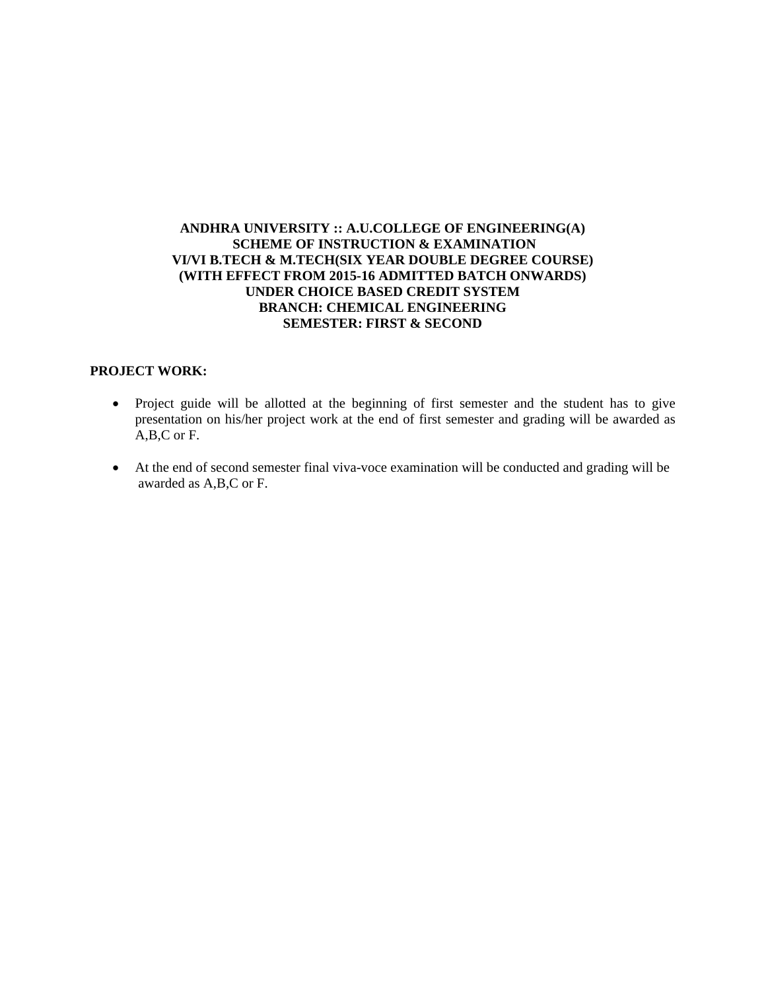#### **ANDHRA UNIVERSITY :: A.U.COLLEGE OF ENGINEERING(A) SCHEME OF INSTRUCTION & EXAMINATION VI/VI B.TECH & M.TECH(SIX YEAR DOUBLE DEGREE COURSE) (WITH EFFECT FROM 2015-16 ADMITTED BATCH ONWARDS) UNDER CHOICE BASED CREDIT SYSTEM BRANCH: CHEMICAL ENGINEERING SEMESTER: FIRST & SECOND**

#### **PROJECT WORK:**

- Project guide will be allotted at the beginning of first semester and the student has to give presentation on his/her project work at the end of first semester and grading will be awarded as A,B,C or F.
- At the end of second semester final viva-voce examination will be conducted and grading will be awarded as A,B,C or F.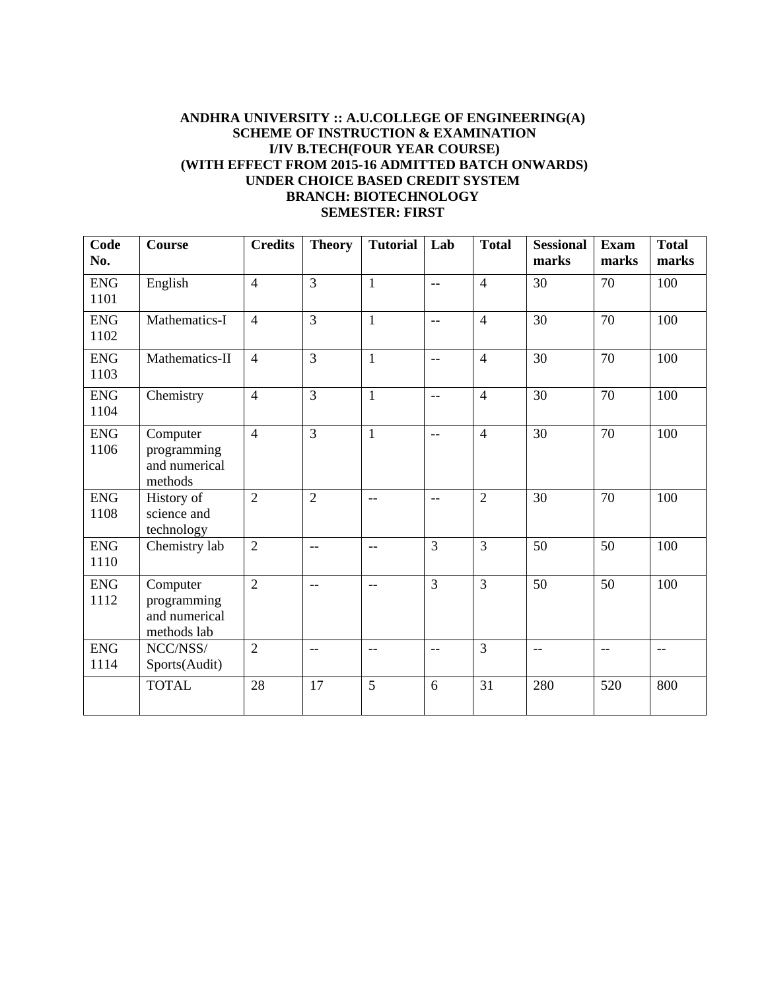#### **ANDHRA UNIVERSITY :: A.U.COLLEGE OF ENGINEERING(A) SCHEME OF INSTRUCTION & EXAMINATION I/IV B.TECH(FOUR YEAR COURSE) (WITH EFFECT FROM 2015-16 ADMITTED BATCH ONWARDS) UNDER CHOICE BASED CREDIT SYSTEM BRANCH: BIOTECHNOLOGY SEMESTER: FIRST**

| Code<br>No.         | <b>Course</b>                                           | <b>Credits</b> | <b>Theory</b>            | <b>Tutorial</b> | Lab            | <b>Total</b>   | <b>Sessional</b><br>marks | <b>Exam</b><br>marks | <b>Total</b><br>marks |
|---------------------|---------------------------------------------------------|----------------|--------------------------|-----------------|----------------|----------------|---------------------------|----------------------|-----------------------|
| <b>ENG</b><br>1101  | English                                                 | $\overline{4}$ | $\overline{3}$           | $\mathbf{1}$    | $-$            | $\overline{4}$ | 30                        | 70                   | 100                   |
| <b>ENG</b><br>1102  | Mathematics-I                                           | $\overline{4}$ | $\overline{3}$           | $\mathbf{1}$    | $\frac{1}{2}$  | $\overline{4}$ | 30                        | 70                   | 100                   |
| <b>ENG</b><br>1103  | Mathematics-II                                          | $\overline{4}$ | $\overline{3}$           | $\mathbf{1}$    | $\mathbf{u}$   | $\overline{4}$ | 30                        | 70                   | 100                   |
| <b>ENG</b><br>1104  | Chemistry                                               | $\overline{4}$ | $\overline{3}$           | $\mathbf{1}$    | $-$            | $\overline{4}$ | 30                        | 70                   | 100                   |
| <b>ENG</b><br>1106  | Computer<br>programming<br>and numerical<br>methods     | $\overline{4}$ | $\overline{3}$           | $\mathbf{1}$    | $-$            | $\overline{4}$ | 30                        | 70                   | 100                   |
| ${\rm ENG}$<br>1108 | History of<br>science and<br>technology                 | $\overline{2}$ | $\overline{2}$           | $-$             | $-$            | $\overline{2}$ | 30                        | 70                   | 100                   |
| <b>ENG</b><br>1110  | Chemistry lab                                           | $\overline{2}$ | $\overline{\phantom{a}}$ | $-$             | $\overline{3}$ | $\overline{3}$ | 50                        | 50                   | 100                   |
| <b>ENG</b><br>1112  | Computer<br>programming<br>and numerical<br>methods lab | $\overline{2}$ | $\overline{\phantom{a}}$ | $-$             | $\overline{3}$ | $\overline{3}$ | 50                        | 50                   | 100                   |
| <b>ENG</b><br>1114  | NCC/NSS/<br>Sports(Audit)                               | $\overline{2}$ | $\overline{\phantom{a}}$ | $\frac{1}{2}$   | $\mathbf{u}$   | $\overline{3}$ | $-$                       | $-$                  | $\frac{1}{2}$         |
|                     | <b>TOTAL</b>                                            | 28             | 17                       | $\overline{5}$  | 6              | 31             | 280                       | 520                  | 800                   |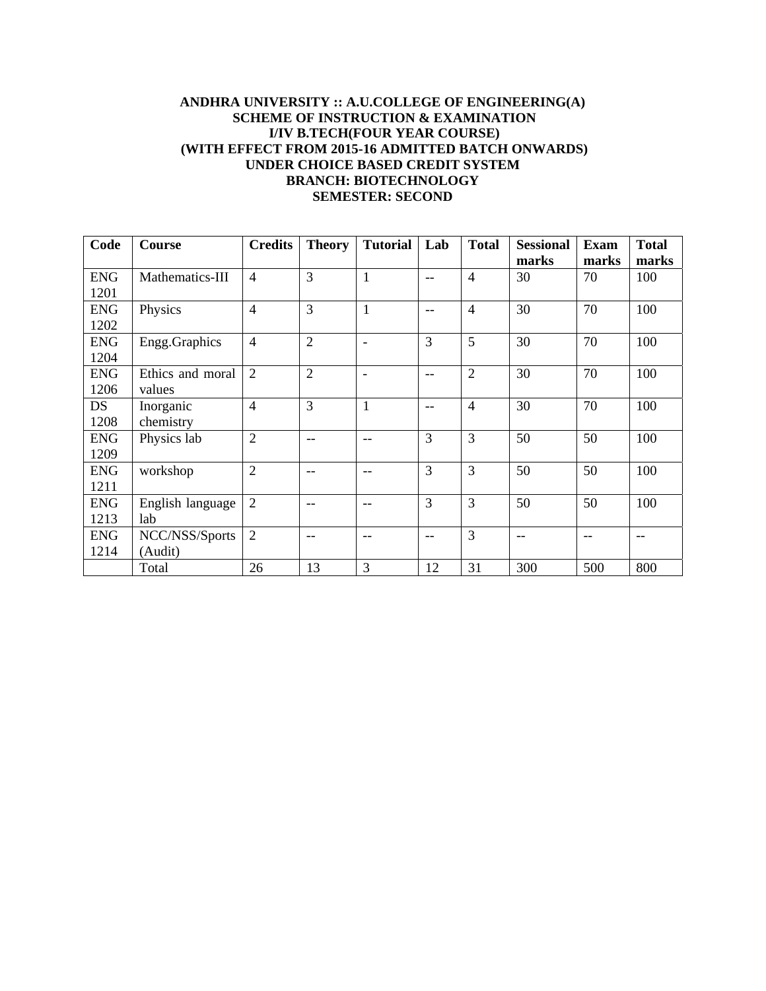## **ANDHRA UNIVERSITY :: A.U.COLLEGE OF ENGINEERING(A) SCHEME OF INSTRUCTION & EXAMINATION I/IV B.TECH(FOUR YEAR COURSE) (WITH EFFECT FROM 2015-16 ADMITTED BATCH ONWARDS) UNDER CHOICE BASED CREDIT SYSTEM BRANCH: BIOTECHNOLOGY SEMESTER: SECOND**

| Code               | Course                     | <b>Credits</b> | <b>Theory</b>  | <b>Tutorial</b> | Lab               | <b>Total</b>   | <b>Sessional</b><br>marks | <b>Exam</b><br>marks | <b>Total</b><br>marks |
|--------------------|----------------------------|----------------|----------------|-----------------|-------------------|----------------|---------------------------|----------------------|-----------------------|
| <b>ENG</b><br>1201 | Mathematics-III            | $\overline{4}$ | 3              | 1               | $-$               | $\overline{4}$ | 30                        | 70                   | 100                   |
| <b>ENG</b><br>1202 | Physics                    | $\overline{4}$ | 3              | 1               | $\qquad \qquad -$ | $\overline{4}$ | 30                        | 70                   | 100                   |
| <b>ENG</b><br>1204 | Engg.Graphics              | $\overline{4}$ | $\overline{2}$ |                 | 3                 | 5              | 30                        | 70                   | 100                   |
| <b>ENG</b><br>1206 | Ethics and moral<br>values | $\overline{2}$ | $\overline{2}$ |                 | $-$               | $\overline{2}$ | 30                        | 70                   | 100                   |
| DS<br>1208         | Inorganic<br>chemistry     | $\overline{4}$ | 3              | $\mathbf{1}$    | --                | $\overline{4}$ | 30                        | 70                   | 100                   |
| <b>ENG</b><br>1209 | Physics lab                | $\overline{2}$ | $-$            | $-$             | 3                 | 3              | 50                        | 50                   | 100                   |
| <b>ENG</b><br>1211 | workshop                   | $\overline{2}$ | --             |                 | 3                 | 3              | 50                        | 50                   | 100                   |
| <b>ENG</b><br>1213 | English language<br>lab    | $\overline{2}$ | --             | --              | 3                 | 3              | 50                        | 50                   | 100                   |
| <b>ENG</b><br>1214 | NCC/NSS/Sports<br>(Audit)  | $\overline{2}$ | --             |                 | --                | 3              | $-$                       |                      |                       |
|                    | Total                      | 26             | 13             | 3               | 12                | 31             | 300                       | 500                  | 800                   |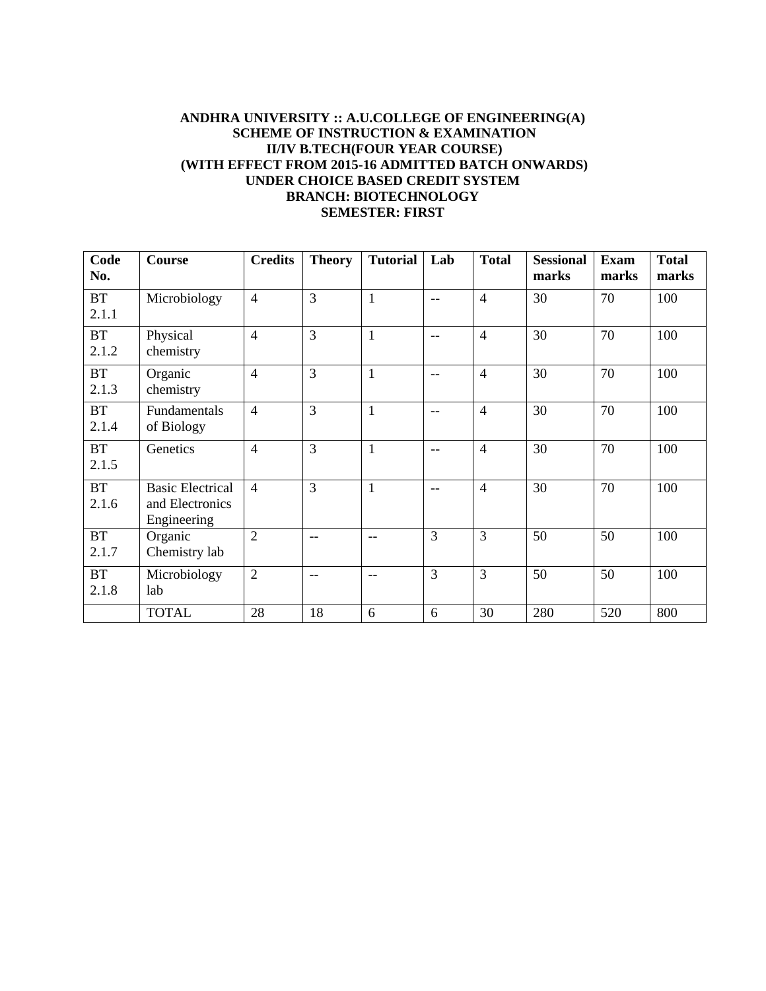### **ANDHRA UNIVERSITY :: A.U.COLLEGE OF ENGINEERING(A) SCHEME OF INSTRUCTION & EXAMINATION II/IV B.TECH(FOUR YEAR COURSE) (WITH EFFECT FROM 2015-16 ADMITTED BATCH ONWARDS) UNDER CHOICE BASED CREDIT SYSTEM BRANCH: BIOTECHNOLOGY SEMESTER: FIRST**

| Code<br>No.        | <b>Course</b>                                             | <b>Credits</b> | <b>Theory</b> | <b>Tutorial</b> | Lab | <b>Total</b>   | <b>Sessional</b><br>marks | <b>Exam</b><br>marks | <b>Total</b><br>marks |
|--------------------|-----------------------------------------------------------|----------------|---------------|-----------------|-----|----------------|---------------------------|----------------------|-----------------------|
| <b>BT</b><br>2.1.1 | Microbiology                                              | $\overline{4}$ | 3             | $\mathbf{1}$    | $-$ | $\overline{4}$ | 30                        | 70                   | 100                   |
| <b>BT</b><br>2.1.2 | Physical<br>chemistry                                     | $\overline{4}$ | 3             | $\mathbf{1}$    | $-$ | $\overline{4}$ | 30                        | 70                   | 100                   |
| <b>BT</b><br>2.1.3 | Organic<br>chemistry                                      | $\overline{4}$ | 3             | $\mathbf{1}$    | $-$ | $\overline{4}$ | 30                        | 70                   | 100                   |
| <b>BT</b><br>2.1.4 | Fundamentals<br>of Biology                                | $\overline{4}$ | 3             | $\mathbf{1}$    | $-$ | $\overline{4}$ | 30                        | 70                   | 100                   |
| <b>BT</b><br>2.1.5 | Genetics                                                  | $\overline{4}$ | 3             | $\mathbf{1}$    | $-$ | $\overline{4}$ | 30                        | 70                   | 100                   |
| BT<br>2.1.6        | <b>Basic Electrical</b><br>and Electronics<br>Engineering | $\overline{4}$ | 3             | $\mathbf{1}$    | $-$ | $\overline{4}$ | 30                        | 70                   | 100                   |
| <b>BT</b><br>2.1.7 | Organic<br>Chemistry lab                                  | $\overline{2}$ | $-$           | $-$             | 3   | 3              | 50                        | 50                   | 100                   |
| <b>BT</b><br>2.1.8 | Microbiology<br>lab                                       | $\overline{2}$ | $-$           | $-$             | 3   | 3              | 50                        | 50                   | 100                   |
|                    | <b>TOTAL</b>                                              | 28             | 18            | 6               | 6   | 30             | 280                       | 520                  | 800                   |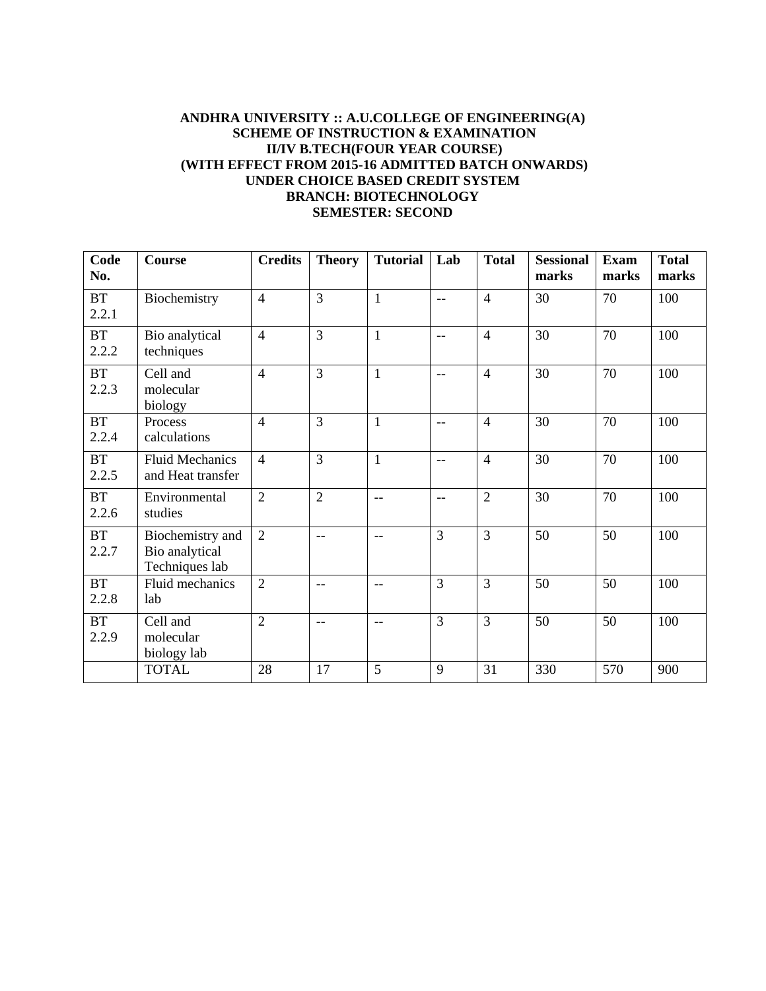### **ANDHRA UNIVERSITY :: A.U.COLLEGE OF ENGINEERING(A) SCHEME OF INSTRUCTION & EXAMINATION II/IV B.TECH(FOUR YEAR COURSE) (WITH EFFECT FROM 2015-16 ADMITTED BATCH ONWARDS) UNDER CHOICE BASED CREDIT SYSTEM BRANCH: BIOTECHNOLOGY SEMESTER: SECOND**

| Code<br>No.        | <b>Course</b>                                        | <b>Credits</b> | <b>Theory</b>            | <b>Tutorial</b>          | Lab            | <b>Total</b>   | <b>Sessional</b><br>marks | <b>Exam</b><br>marks | <b>Total</b><br>marks |
|--------------------|------------------------------------------------------|----------------|--------------------------|--------------------------|----------------|----------------|---------------------------|----------------------|-----------------------|
| <b>BT</b><br>2.2.1 | Biochemistry                                         | $\overline{4}$ | 3                        | $\mathbf{1}$             | $-$            | $\overline{4}$ | 30                        | 70                   | 100                   |
| <b>BT</b><br>2.2.2 | Bio analytical<br>techniques                         | $\overline{4}$ | 3                        | $\mathbf{1}$             | $-$            | $\overline{4}$ | 30                        | 70                   | 100                   |
| <b>BT</b><br>2.2.3 | Cell and<br>molecular<br>biology                     | $\overline{4}$ | $\overline{3}$           | $\mathbf{1}$             | $-$            | $\overline{4}$ | 30                        | 70                   | 100                   |
| <b>BT</b><br>2.2.4 | Process<br>calculations                              | $\overline{4}$ | 3                        | $\mathbf{1}$             | $-$            | $\overline{4}$ | 30                        | 70                   | 100                   |
| <b>BT</b><br>2.2.5 | <b>Fluid Mechanics</b><br>and Heat transfer          | $\overline{4}$ | $\overline{3}$           | $\mathbf{1}$             | $-$            | $\overline{4}$ | 30                        | 70                   | 100                   |
| <b>BT</b><br>2.2.6 | Environmental<br>studies                             | $\overline{2}$ | $\overline{2}$           | $- -$                    | $-$            | $\overline{2}$ | 30                        | 70                   | 100                   |
| <b>BT</b><br>2.2.7 | Biochemistry and<br>Bio analytical<br>Techniques lab | $\overline{2}$ | $\overline{\phantom{a}}$ | $-$                      | $\overline{3}$ | 3              | 50                        | 50                   | 100                   |
| <b>BT</b><br>2.2.8 | Fluid mechanics<br>lab                               | $\overline{2}$ | $- -$                    | $-$                      | $\overline{3}$ | $\overline{3}$ | 50                        | 50                   | 100                   |
| <b>BT</b><br>2.2.9 | Cell and<br>molecular<br>biology lab                 | $\overline{2}$ | $\frac{1}{2}$            | $\overline{\phantom{a}}$ | $\overline{3}$ | 3              | 50                        | 50                   | 100                   |
|                    | <b>TOTAL</b>                                         | 28             | 17                       | 5                        | 9              | 31             | 330                       | 570                  | 900                   |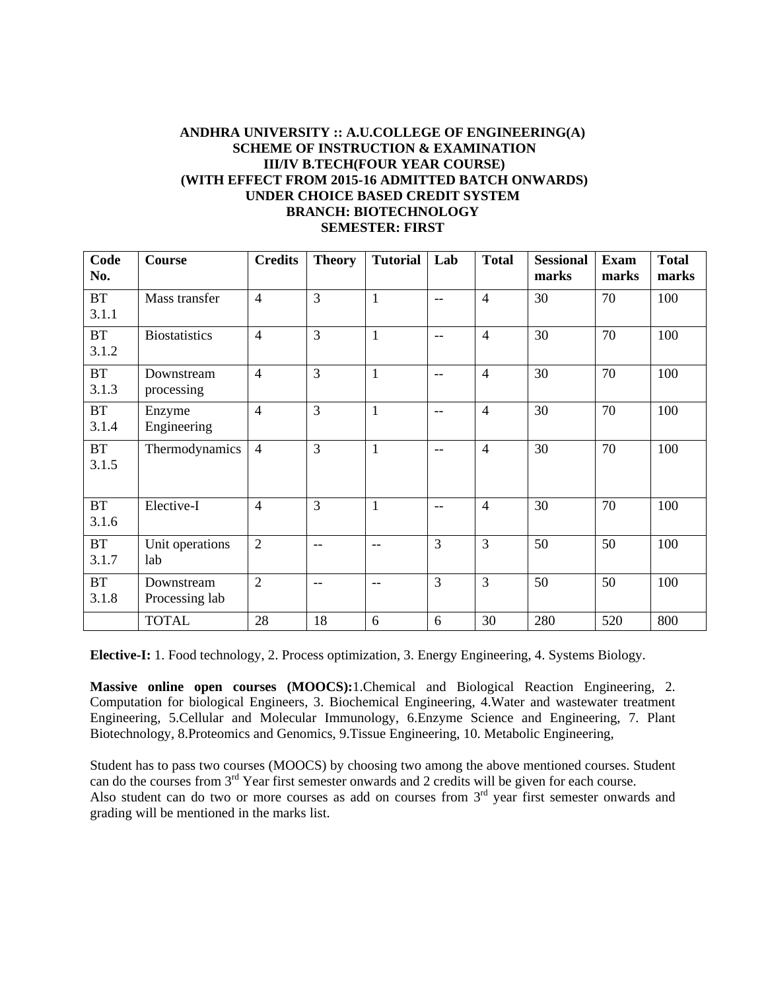#### **ANDHRA UNIVERSITY :: A.U.COLLEGE OF ENGINEERING(A) SCHEME OF INSTRUCTION & EXAMINATION III/IV B.TECH(FOUR YEAR COURSE) (WITH EFFECT FROM 2015-16 ADMITTED BATCH ONWARDS) UNDER CHOICE BASED CREDIT SYSTEM BRANCH: BIOTECHNOLOGY SEMESTER: FIRST**

| Code<br>No.        | <b>Course</b>                | <b>Credits</b> | <b>Theory</b>  | <b>Tutorial</b> | Lab            | <b>Total</b>   | <b>Sessional</b><br>marks | <b>Exam</b><br>marks | <b>Total</b><br>marks |
|--------------------|------------------------------|----------------|----------------|-----------------|----------------|----------------|---------------------------|----------------------|-----------------------|
| <b>BT</b><br>3.1.1 | Mass transfer                | $\overline{4}$ | $\overline{3}$ | $\mathbf{1}$    | $-$            | $\overline{4}$ | 30                        | 70                   | 100                   |
| <b>BT</b><br>3.1.2 | <b>Biostatistics</b>         | $\overline{4}$ | $\overline{3}$ | $\mathbf{1}$    | $-$            | $\overline{4}$ | 30                        | 70                   | 100                   |
| <b>BT</b><br>3.1.3 | Downstream<br>processing     | $\overline{4}$ | $\overline{3}$ | $\mathbf{1}$    | $-$            | $\overline{4}$ | 30                        | 70                   | 100                   |
| <b>BT</b><br>3.1.4 | Enzyme<br>Engineering        | $\overline{4}$ | 3              | $\mathbf{1}$    | $-$            | $\overline{4}$ | 30                        | 70                   | 100                   |
| <b>BT</b><br>3.1.5 | Thermodynamics               | $\overline{4}$ | $\overline{3}$ | 1               | $-$            | $\overline{4}$ | 30                        | 70                   | 100                   |
| <b>BT</b><br>3.1.6 | Elective-I                   | $\overline{4}$ | $\overline{3}$ | $\mathbf{1}$    | $-$            | $\overline{4}$ | 30                        | 70                   | 100                   |
| <b>BT</b><br>3.1.7 | Unit operations<br>lab       | $\overline{2}$ | $-$            | $-$             | $\overline{3}$ | $\overline{3}$ | 50                        | 50                   | 100                   |
| <b>BT</b><br>3.1.8 | Downstream<br>Processing lab | $\overline{2}$ | --             | $- -$           | $\overline{3}$ | 3              | 50                        | 50                   | 100                   |
|                    | <b>TOTAL</b>                 | 28             | 18             | 6               | 6              | 30             | 280                       | 520                  | 800                   |

**Elective-I:** 1. Food technology, 2. Process optimization, 3. Energy Engineering, 4. Systems Biology.

**Massive online open courses (MOOCS):**1.Chemical and Biological Reaction Engineering, 2. Computation for biological Engineers, 3. Biochemical Engineering, 4.Water and wastewater treatment Engineering, 5.Cellular and Molecular Immunology, 6.Enzyme Science and Engineering, 7. Plant Biotechnology, 8.Proteomics and Genomics, 9.Tissue Engineering, 10. Metabolic Engineering,

Student has to pass two courses (MOOCS) by choosing two among the above mentioned courses. Student can do the courses from 3<sup>rd</sup> Year first semester onwards and 2 credits will be given for each course. Also student can do two or more courses as add on courses from  $3<sup>rd</sup>$  year first semester onwards and grading will be mentioned in the marks list.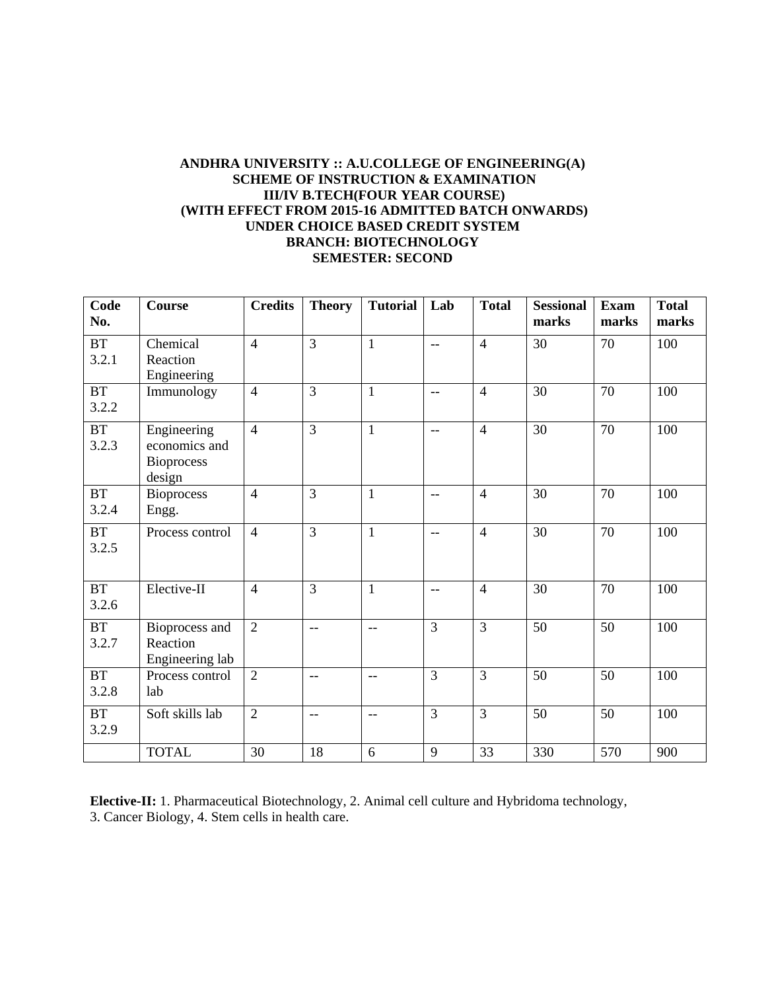## **ANDHRA UNIVERSITY :: A.U.COLLEGE OF ENGINEERING(A) SCHEME OF INSTRUCTION & EXAMINATION III/IV B.TECH(FOUR YEAR COURSE) (WITH EFFECT FROM 2015-16 ADMITTED BATCH ONWARDS) UNDER CHOICE BASED CREDIT SYSTEM BRANCH: BIOTECHNOLOGY SEMESTER: SECOND**

| Code<br>No.        | <b>Course</b>                                               | <b>Credits</b> | <b>Theory</b>            | <b>Tutorial</b>          | Lab            | <b>Total</b>   | <b>Sessional</b><br>marks | <b>Exam</b><br>marks | <b>Total</b><br>marks |
|--------------------|-------------------------------------------------------------|----------------|--------------------------|--------------------------|----------------|----------------|---------------------------|----------------------|-----------------------|
| BT<br>3.2.1        | Chemical<br>Reaction<br>Engineering                         | $\overline{4}$ | $\overline{3}$           | $\mathbf{1}$             | $-$            | $\overline{4}$ | 30                        | 70                   | 100                   |
| <b>BT</b><br>3.2.2 | Immunology                                                  | $\overline{4}$ | $\overline{3}$           | $\mathbf{1}$             | $-$            | $\overline{4}$ | 30                        | 70                   | 100                   |
| <b>BT</b><br>3.2.3 | Engineering<br>economics and<br><b>Bioprocess</b><br>design | $\overline{4}$ | $\overline{3}$           | $\mathbf{1}$             | $-$            | $\overline{4}$ | 30                        | 70                   | 100                   |
| BT<br>3.2.4        | <b>Bioprocess</b><br>Engg.                                  | $\overline{4}$ | $\overline{3}$           | $\mathbf{1}$             | $-$            | $\overline{4}$ | 30                        | 70                   | 100                   |
| <b>BT</b><br>3.2.5 | Process control                                             | $\overline{4}$ | $\overline{3}$           | $\mathbf{1}$             | $-$            | $\overline{4}$ | 30                        | 70                   | 100                   |
| BT<br>3.2.6        | Elective-II                                                 | $\overline{4}$ | $\overline{3}$           | $\mathbf{1}$             | $-$            | $\overline{4}$ | 30                        | 70                   | 100                   |
| <b>BT</b><br>3.2.7 | Bioprocess and<br>Reaction<br>Engineering lab               | $\overline{2}$ | $- -$                    | $\frac{1}{2}$            | $\overline{3}$ | $\overline{3}$ | $\overline{50}$           | $\overline{50}$      | 100                   |
| BT<br>3.2.8        | Process control<br>lab                                      | $\overline{2}$ | $-$                      | $\frac{1}{2}$            | $\overline{3}$ | $\overline{3}$ | 50                        | 50                   | 100                   |
| <b>BT</b><br>3.2.9 | Soft skills lab                                             | $\overline{2}$ | $\overline{\phantom{m}}$ | $\overline{\phantom{m}}$ | $\overline{3}$ | $\overline{3}$ | 50                        | 50                   | 100                   |
|                    | <b>TOTAL</b>                                                | 30             | 18                       | 6                        | 9              | 33             | 330                       | 570                  | 900                   |

**Elective-II:** 1. Pharmaceutical Biotechnology, 2. Animal cell culture and Hybridoma technology, 3. Cancer Biology, 4. Stem cells in health care.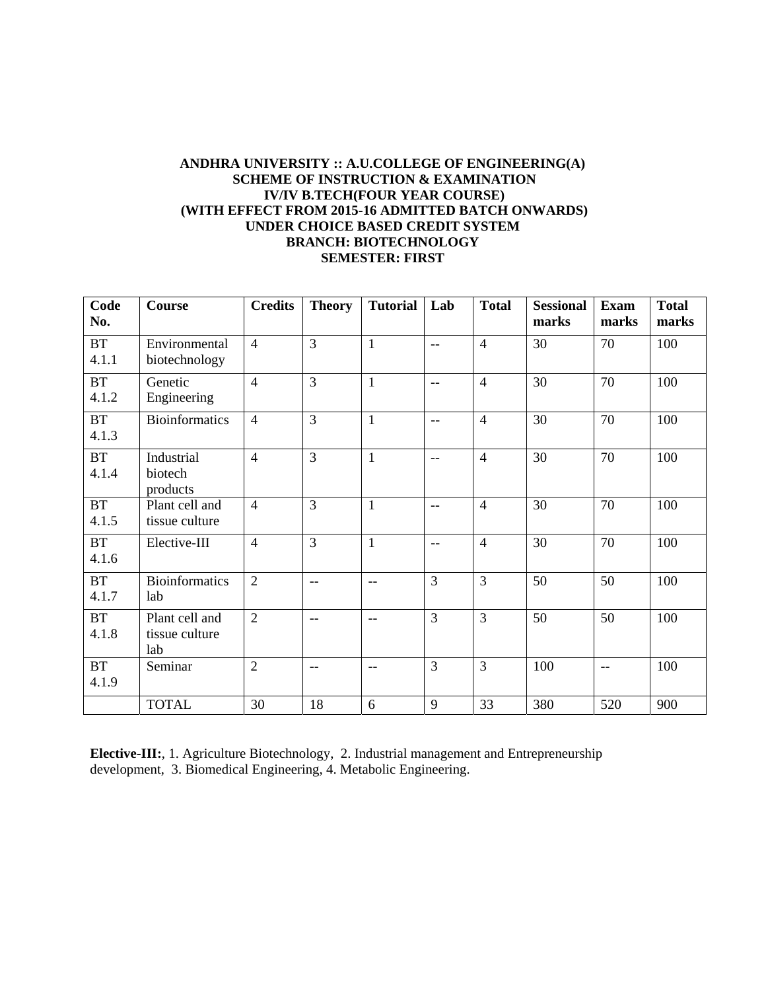## **ANDHRA UNIVERSITY :: A.U.COLLEGE OF ENGINEERING(A) SCHEME OF INSTRUCTION & EXAMINATION IV/IV B.TECH(FOUR YEAR COURSE) (WITH EFFECT FROM 2015-16 ADMITTED BATCH ONWARDS) UNDER CHOICE BASED CREDIT SYSTEM BRANCH: BIOTECHNOLOGY SEMESTER: FIRST**

| Code<br>No.        | Course                                  | <b>Credits</b> | <b>Theory</b>            | <b>Tutorial</b> | Lab            | <b>Total</b>   | <b>Sessional</b><br>marks | <b>Exam</b><br>marks | <b>Total</b><br>marks |
|--------------------|-----------------------------------------|----------------|--------------------------|-----------------|----------------|----------------|---------------------------|----------------------|-----------------------|
| <b>BT</b><br>4.1.1 | Environmental<br>biotechnology          | $\overline{4}$ | $\overline{3}$           | $\mathbf{1}$    | $-$            | $\overline{4}$ | 30                        | 70                   | 100                   |
| <b>BT</b><br>4.1.2 | Genetic<br>Engineering                  | $\overline{4}$ | $\overline{3}$           | $\mathbf{1}$    | $-$            | $\overline{4}$ | 30                        | 70                   | 100                   |
| BT<br>4.1.3        | <b>Bioinformatics</b>                   | $\overline{4}$ | $\overline{3}$           | $\mathbf{1}$    | $-$            | $\overline{4}$ | 30                        | 70                   | 100                   |
| BT<br>4.1.4        | Industrial<br>biotech<br>products       | $\overline{4}$ | $\overline{3}$           | $\mathbf{1}$    | $-$            | $\overline{4}$ | 30                        | 70                   | 100                   |
| <b>BT</b><br>4.1.5 | Plant cell and<br>tissue culture        | $\overline{4}$ | $\overline{3}$           | $\mathbf{1}$    | $-$            | $\overline{4}$ | 30                        | 70                   | 100                   |
| BT<br>4.1.6        | Elective-III                            | $\overline{4}$ | $\overline{3}$           | $\mathbf{1}$    | $-$            | $\overline{4}$ | 30                        | 70                   | 100                   |
| <b>BT</b><br>4.1.7 | <b>Bioinformatics</b><br>lab            | $\overline{2}$ | $-$                      | $-$             | $\overline{3}$ | $\overline{3}$ | 50                        | 50                   | 100                   |
| <b>BT</b><br>4.1.8 | Plant cell and<br>tissue culture<br>lab | $\overline{2}$ | $\overline{\phantom{a}}$ | $\frac{1}{2}$   | $\overline{3}$ | $\overline{3}$ | 50                        | 50                   | 100                   |
| BT<br>4.1.9        | Seminar                                 | $\overline{2}$ | $-$                      | $-$             | 3              | $\overline{3}$ | 100                       | $-$                  | 100                   |
|                    | <b>TOTAL</b>                            | 30             | 18                       | 6               | 9              | 33             | 380                       | 520                  | 900                   |

**Elective-III:**, 1. Agriculture Biotechnology, 2. Industrial management and Entrepreneurship development, 3. Biomedical Engineering, 4. Metabolic Engineering.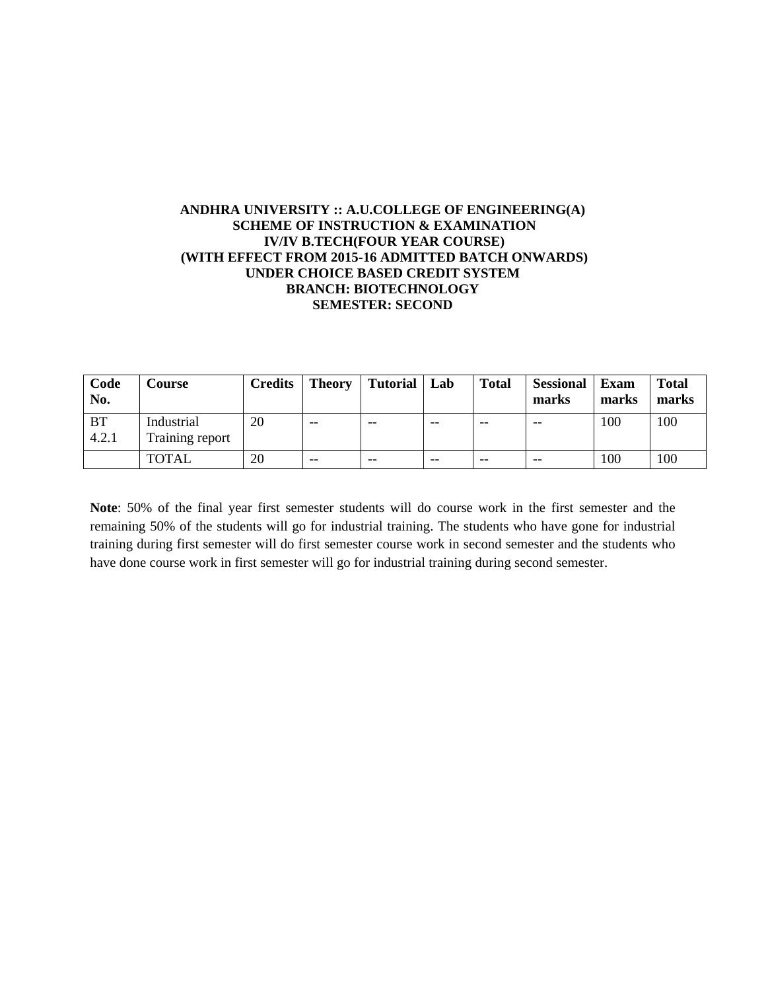## **ANDHRA UNIVERSITY :: A.U.COLLEGE OF ENGINEERING(A) SCHEME OF INSTRUCTION & EXAMINATION IV/IV B.TECH(FOUR YEAR COURSE) (WITH EFFECT FROM 2015-16 ADMITTED BATCH ONWARDS) UNDER CHOICE BASED CREDIT SYSTEM BRANCH: BIOTECHNOLOGY SEMESTER: SECOND**

| Code<br>No.        | Course                        | <b>Credits</b> | <b>Theory</b> | <b>Tutorial</b> | Lab   | <b>Total</b> | <b>Sessional</b><br>marks | Exam<br>marks | <b>Total</b><br>marks |
|--------------------|-------------------------------|----------------|---------------|-----------------|-------|--------------|---------------------------|---------------|-----------------------|
| <b>BT</b><br>4.2.1 | Industrial<br>Training report | 20             | $- -$         | $- -$           | $- -$ | $- -$        | $- -$                     | 100           | 100                   |
|                    | <b>TOTAL</b>                  | 20             | $- -$         | $- -$           | $- -$ | $- -$        | $- -$                     | 100           | 100                   |

**Note**: 50% of the final year first semester students will do course work in the first semester and the remaining 50% of the students will go for industrial training. The students who have gone for industrial training during first semester will do first semester course work in second semester and the students who have done course work in first semester will go for industrial training during second semester.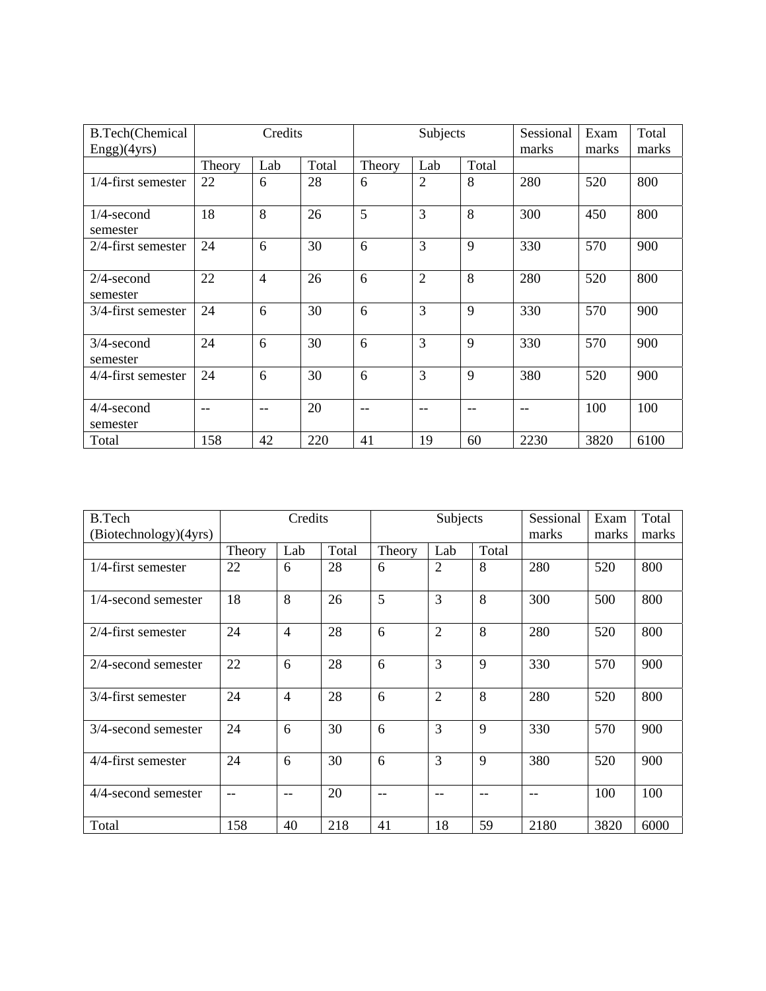| <b>B.Tech(Chemical</b>    |        | Credits        |       |        | Subjects       |       |       | Exam  | Total |
|---------------------------|--------|----------------|-------|--------|----------------|-------|-------|-------|-------|
| Engg)(4yrs)               |        |                |       |        |                |       | marks | marks | marks |
|                           | Theory | Lab            | Total | Theory | Lab            | Total |       |       |       |
| $1/4$ -first semester     | 22     | 6              | 28    | 6      | $\overline{2}$ | 8     | 280   | 520   | 800   |
| $1/4$ -second<br>semester | 18     | 8              | 26    | 5      | 3              | 8     | 300   | 450   | 800   |
| $2/4$ -first semester     | 24     | 6              | 30    | 6      | 3              | 9     | 330   | 570   | 900   |
| $2/4$ -second<br>semester | 22     | $\overline{4}$ | 26    | 6      | $\overline{2}$ | 8     | 280   | 520   | 800   |
| 3/4-first semester        | 24     | 6              | 30    | 6      | 3              | 9     | 330   | 570   | 900   |
| $3/4$ -second<br>semester | 24     | 6              | 30    | 6      | 3              | 9     | 330   | 570   | 900   |
| 4/4-first semester        | 24     | 6              | 30    | 6      | 3              | 9     | 380   | 520   | 900   |
| 4/4-second<br>semester    | $-$    | $-$            | 20    | --     | --             | $-$   |       | 100   | 100   |
| Total                     | 158    | 42             | 220   | 41     | 19             | 60    | 2230  | 3820  | 6100  |

| <b>B.Tech</b>          |        | Credits        |       |        | Subjects       |       | Sessional | Exam  | Total |
|------------------------|--------|----------------|-------|--------|----------------|-------|-----------|-------|-------|
| (Biotechnology)(4yrs)  |        |                |       |        |                |       | marks     | marks | marks |
|                        | Theory | Lab            | Total | Theory | Lab            | Total |           |       |       |
| $1/4$ -first semester  | 22     | 6              | 28    | 6      | $\overline{2}$ | 8     | 280       | 520   | 800   |
| $1/4$ -second semester | 18     | 8              | 26    | 5      | 3              | 8     | 300       | 500   | 800   |
| 2/4-first semester     | 24     | $\overline{4}$ | 28    | 6      | $\overline{2}$ | 8     | 280       | 520   | 800   |
| $2/4$ -second semester | 22     | 6              | 28    | 6      | 3              | 9     | 330       | 570   | 900   |
| 3/4-first semester     | 24     | $\overline{4}$ | 28    | 6      | $\overline{2}$ | 8     | 280       | 520   | 800   |
| 3/4-second semester    | 24     | 6              | 30    | 6      | 3              | 9     | 330       | 570   | 900   |
| 4/4-first semester     | 24     | 6              | 30    | 6      | 3              | 9     | 380       | 520   | 900   |
| 4/4-second semester    | $-$    |                | 20    | --     | --             |       |           | 100   | 100   |
| Total                  | 158    | 40             | 218   | 41     | 18             | 59    | 2180      | 3820  | 6000  |